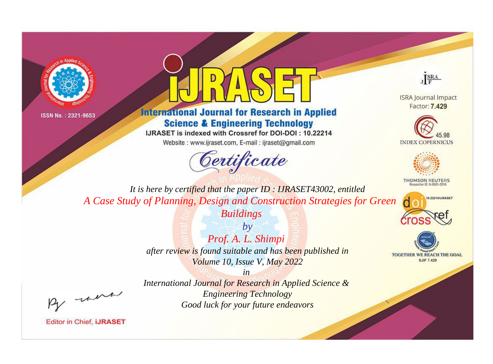



# **International Journal for Research in Applied Science & Engineering Technology**

IJRASET is indexed with Crossref for DOI-DOI: 10.22214

Website: www.ijraset.com, E-mail: ijraset@gmail.com





**ISRA Journal Impact** Factor: 7.429





**THOMSON REUTERS** 



TOGETHER WE REACH THE GOAL **SJIF 7.429** 

*It is here by certified that the paper ID : IJRASET43002, entitled A Case Study of Planning, Design and Construction Strategies for Green Buildings*

> *by Prof. A. L. Shimpi after review is found suitable and has been published in Volume 10, Issue V, May 2022*

, were

*International Journal for Research in Applied Science & Engineering Technology Good luck for your future endeavors*

*in*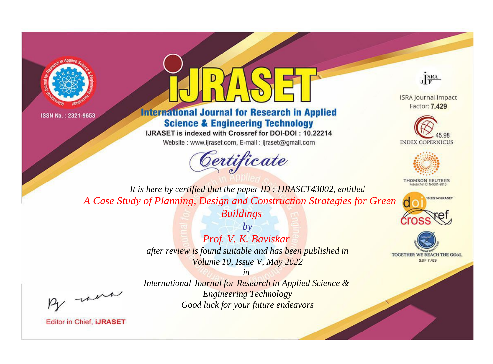



# **International Journal for Research in Applied Science & Engineering Technology**

IJRASET is indexed with Crossref for DOI-DOI: 10.22214

Website: www.ijraset.com, E-mail: ijraset@gmail.com





**ISRA Journal Impact** Factor: 7.429





**THOMSON REUTERS** 



TOGETHER WE REACH THE GOAL **SJIF 7.429** 

*It is here by certified that the paper ID : IJRASET43002, entitled A Case Study of Planning, Design and Construction Strategies for Green Buildings*

> *by Prof. V. K. Baviskar after review is found suitable and has been published in Volume 10, Issue V, May 2022*

, were

*International Journal for Research in Applied Science & Engineering Technology Good luck for your future endeavors*

*in*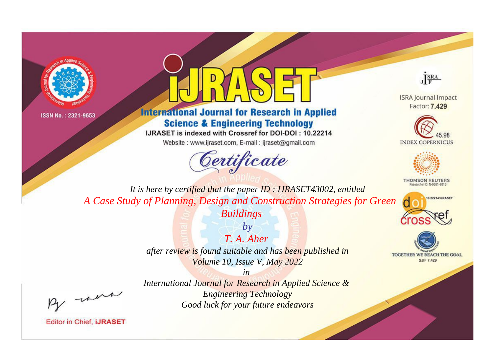



# **International Journal for Research in Applied Science & Engineering Technology**

IJRASET is indexed with Crossref for DOI-DOI: 10.22214

Website: www.ijraset.com, E-mail: ijraset@gmail.com



JERA

**ISRA Journal Impact** Factor: 7,429





**THOMSON REUTERS** 



TOGETHER WE REACH THE GOAL **SJIF 7.429** 

It is here by certified that the paper ID: IJRASET43002, entitled A Case Study of Planning, Design and Construction Strategies for Green **Buildings** 

> $b\nu$  $T$  A Aher after review is found suitable and has been published in Volume 10, Issue V, May 2022

were

International Journal for Research in Applied Science & **Engineering Technology** Good luck for your future endeavors

 $in$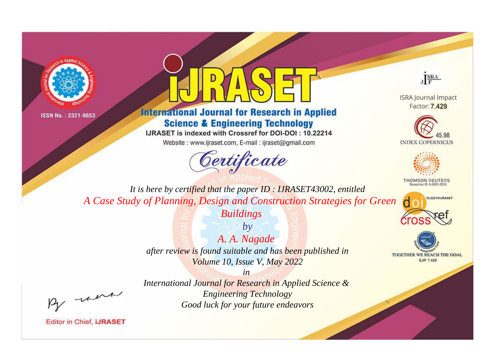



# **International Journal for Research in Applied Science & Engineering Technology**

IJRASET is indexed with Crossref for DOI-DOI: 10.22214

Website: www.ijraset.com, E-mail: ijraset@gmail.com





**ISRA Journal Impact** Factor: 7.429





**THOMSON REUTERS** 



TOGETHER WE REACH THE GOAL **SJIF 7.429** 

*It is here by certified that the paper ID : IJRASET43002, entitled A Case Study of Planning, Design and Construction Strategies for Green Buildings*

> *by A. A. Nagade after review is found suitable and has been published in Volume 10, Issue V, May 2022*

, un

*International Journal for Research in Applied Science & Engineering Technology Good luck for your future endeavors*

*in*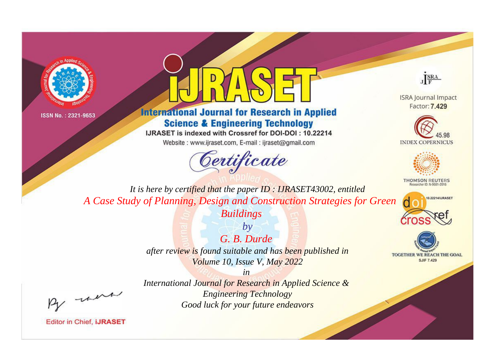



# **International Journal for Research in Applied Science & Engineering Technology**

IJRASET is indexed with Crossref for DOI-DOI: 10.22214

Website: www.ijraset.com, E-mail: ijraset@gmail.com



JERA

**ISRA Journal Impact** Factor: 7.429





**THOMSON REUTERS** 



TOGETHER WE REACH THE GOAL **SJIF 7.429** 

*It is here by certified that the paper ID : IJRASET43002, entitled A Case Study of Planning, Design and Construction Strategies for Green Buildings*

> *by G. B. Durde after review is found suitable and has been published in Volume 10, Issue V, May 2022*

, un

**Editor in Chief, IJRASET** 

*International Journal for Research in Applied Science & Engineering Technology Good luck for your future endeavors*

*in*